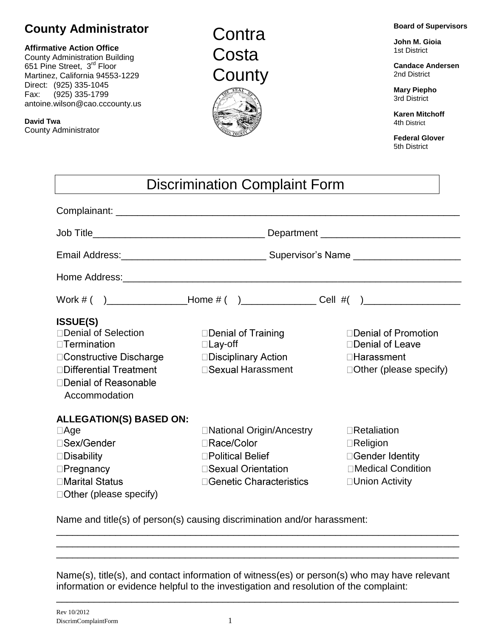## **County Administrator**

## **Affirmative Action Office**  County Administration Building

651 Pine Street, 3<sup>rd</sup> Floor Martinez, California 94553-1229 Direct: (925) 335-1045 Fax: (925) 335-1799 antoine.wilson@cao.cccounty.us

**David Twa** County Administrator

## **Contra Costa County**



**John M. Gioia**  1st District

**Candace Andersen** 2nd District

**Mary Piepho** 3rd District

**Karen Mitchoff** 4th District

**Federal Glover** 5th District

| <b>Discrimination Complaint Form</b>                                                                                                                               |                                                                                                                            |                                                                                                     |
|--------------------------------------------------------------------------------------------------------------------------------------------------------------------|----------------------------------------------------------------------------------------------------------------------------|-----------------------------------------------------------------------------------------------------|
|                                                                                                                                                                    |                                                                                                                            |                                                                                                     |
|                                                                                                                                                                    |                                                                                                                            |                                                                                                     |
|                                                                                                                                                                    |                                                                                                                            |                                                                                                     |
|                                                                                                                                                                    |                                                                                                                            |                                                                                                     |
|                                                                                                                                                                    |                                                                                                                            |                                                                                                     |
| <b>ISSUE(S)</b><br>□Denial of Selection<br>$\Box$ Termination<br>□ Constructive Discharge<br>□Differential Treatment<br>□Denial of Reasonable<br>Accommodation     | □Denial of Training<br>$\Box$ Lay-off<br>□Disciplinary Action<br>□ Sexual Harassment                                       | □ Denial of Promotion<br>□Denial of Leave<br>$\Box$ Harassment<br>$\Box$ Other (please specify)     |
| <b>ALLEGATION(S) BASED ON:</b><br>$\Box$ Age<br>□Sex/Gender<br>$\square$ Disability<br>$\Box$ Pregnancy<br><b>□Marital Status</b><br>$\Box$ Other (please specify) | □ National Origin/Ancestry<br><b>□Race/Color</b><br>□Political Belief<br>□ Sexual Orientation<br>□ Genetic Characteristics | $\Box$ Retaliation<br>$\Box$ Religion<br>□Gender Identity<br>□Medical Condition<br>□ Union Activity |

Name and title(s) of person(s) causing discrimination and/or harassment: \_\_\_\_\_\_\_\_\_\_\_\_\_\_\_\_\_\_\_\_\_\_\_\_\_\_\_\_\_\_\_\_\_\_\_\_\_\_\_\_\_\_\_\_\_\_\_\_\_\_\_\_\_\_\_\_\_\_\_\_\_\_\_\_\_\_\_\_\_\_\_\_\_\_\_

Name(s), title(s), and contact information of witness(es) or person(s) who may have relevant information or evidence helpful to the investigation and resolution of the complaint:

\_\_\_\_\_\_\_\_\_\_\_\_\_\_\_\_\_\_\_\_\_\_\_\_\_\_\_\_\_\_\_\_\_\_\_\_\_\_\_\_\_\_\_\_\_\_\_\_\_\_\_\_\_\_\_\_\_\_\_\_\_\_\_\_\_\_\_\_\_\_\_\_\_\_\_

\_\_\_\_\_\_\_\_\_\_\_\_\_\_\_\_\_\_\_\_\_\_\_\_\_\_\_\_\_\_\_\_\_\_\_\_\_\_\_\_\_\_\_\_\_\_\_\_\_\_\_\_\_\_\_\_\_\_\_\_\_\_\_\_\_\_\_\_\_\_\_\_\_\_\_ \_\_\_\_\_\_\_\_\_\_\_\_\_\_\_\_\_\_\_\_\_\_\_\_\_\_\_\_\_\_\_\_\_\_\_\_\_\_\_\_\_\_\_\_\_\_\_\_\_\_\_\_\_\_\_\_\_\_\_\_\_\_\_\_\_\_\_\_\_\_\_\_\_\_\_